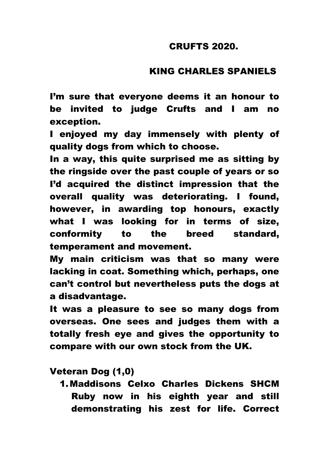#### CRUFTS 2020.

# KING CHARLES SPANIELS

I'm sure that everyone deems it an honour to be invited to judge Crufts and I am no exception.

I enjoyed my day immensely with plenty of quality dogs from which to choose.

In a way, this quite surprised me as sitting by the ringside over the past couple of years or so I'd acquired the distinct impression that the overall quality was deteriorating. I found, however, in awarding top honours, exactly what I was looking for in terms of size, conformity to the breed standard, temperament and movement.

My main criticism was that so many were lacking in coat. Something which, perhaps, one can't control but nevertheless puts the dogs at a disadvantage.

It was a pleasure to see so many dogs from overseas. One sees and judges them with a totally fresh eye and gives the opportunity to compare with our own stock from the UK.

Veteran Dog (1,0)

1.Maddisons Celxo Charles Dickens SHCM Ruby now in his eighth year and still demonstrating his zest for life. Correct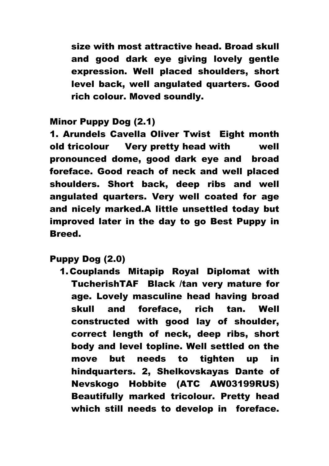size with most attractive head. Broad skull and good dark eye giving lovely gentle expression. Well placed shoulders, short level back, well angulated quarters. Good rich colour. Moved soundly.

# Minor Puppy Dog (2.1)

1. Arundels Cavella Oliver Twist Eight month old tricolour Very pretty head with well pronounced dome, good dark eye and broad foreface. Good reach of neck and well placed shoulders. Short back, deep ribs and well angulated quarters. Very well coated for age and nicely marked.A little unsettled today but improved later in the day to go Best Puppy in Breed.

Puppy Dog (2.0)

1.Couplands Mitapip Royal Diplomat with TucherishTAF Black /tan very mature for age. Lovely masculine head having broad skull and foreface, rich tan. Well constructed with good lay of shoulder, correct length of neck, deep ribs, short body and level topline. Well settled on the move but needs to tighten up in hindquarters. 2, Shelkovskayas Dante of Nevskogo Hobbite (ATC AW03199RUS) Beautifully marked tricolour. Pretty head which still needs to develop in foreface.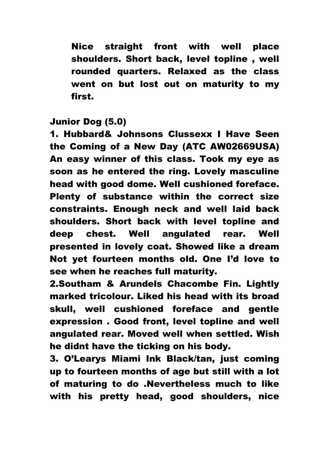Nice straight front with well place shoulders. Short back, level topline , well rounded quarters. Relaxed as the class went on but lost out on maturity to my first.

# Junior Dog (5.0)

1. Hubbard& Johnsons Clussexx I Have Seen the Coming of a New Day (ATC AW02669USA) An easy winner of this class. Took my eye as soon as he entered the ring. Lovely masculine head with good dome. Well cushioned foreface. Plenty of substance within the correct size constraints. Enough neck and well laid back shoulders. Short back with level topline and deep chest. Well angulated rear. Well presented in lovely coat. Showed like a dream Not yet fourteen months old. One I'd love to see when he reaches full maturity.

2.Southam & Arundels Chacombe Fin. Lightly marked tricolour. Liked his head with its broad skull, well cushioned foreface and gentle expression . Good front, level topline and well angulated rear. Moved well when settled. Wish he didnt have the ticking on his body.

3. O'Learys Miami Ink Black/tan, just coming up to fourteen months of age but still with a lot of maturing to do .Nevertheless much to like with his pretty head, good shoulders, nice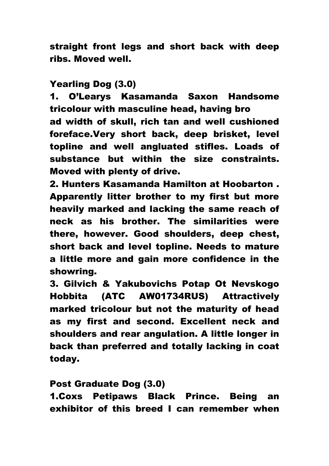straight front legs and short back with deep ribs. Moved well.

# Yearling Dog (3.0)

1. O'Learys Kasamanda Saxon Handsome tricolour with masculine head, having bro ad width of skull, rich tan and well cushioned foreface.Very short back, deep brisket, level topline and well angluated stifles. Loads of substance but within the size constraints. Moved with plenty of drive.

2. Hunters Kasamanda Hamilton at Hoobarton . Apparently litter brother to my first but more heavily marked and lacking the same reach of neck as his brother. The similarities were there, however. Good shoulders, deep chest, short back and level topline. Needs to mature a little more and gain more confidence in the showring.

3. Gilvich & Yakubovichs Potap Ot Nevskogo Hobbita (ATC AW01734RUS) Attractively marked tricolour but not the maturity of head as my first and second. Excellent neck and shoulders and rear angulation. A little longer in back than preferred and totally lacking in coat today.

### Post Graduate Dog (3.0)

1.Coxs Petipaws Black Prince. Being an exhibitor of this breed I can remember when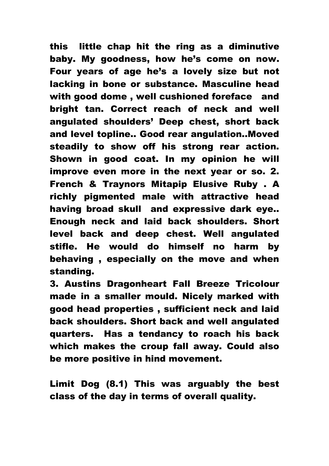this little chap hit the ring as a diminutive baby. My goodness, how he's come on now. Four years of age he's a lovely size but not lacking in bone or substance. Masculine head with good dome , well cushioned foreface and bright tan. Correct reach of neck and well angulated shoulders' Deep chest, short back and level topline.. Good rear angulation..Moved steadily to show off his strong rear action. Shown in good coat. In my opinion he will improve even more in the next year or so. 2. French & Traynors Mitapip Elusive Ruby . A richly pigmented male with attractive head having broad skull and expressive dark eye.. Enough neck and laid back shoulders. Short level back and deep chest. Well angulated stifle. He would do himself no harm by behaving , especially on the move and when standing.

3. Austins Dragonheart Fall Breeze Tricolour made in a smaller mould. Nicely marked with good head properties , sufficient neck and laid back shoulders. Short back and well angulated quarters. Has a tendancy to roach his back which makes the croup fall away. Could also be more positive in hind movement.

Limit Dog (8.1) This was arguably the best class of the day in terms of overall quality.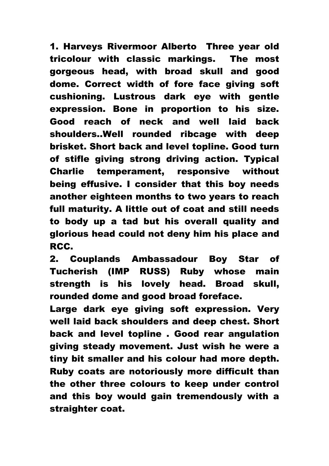1. Harveys Rivermoor Alberto Three year old tricolour with classic markings. The most gorgeous head, with broad skull and good dome. Correct width of fore face giving soft cushioning. Lustrous dark eye with gentle expression. Bone in proportion to his size. Good reach of neck and well laid back shoulders..Well rounded ribcage with deep brisket. Short back and level topline. Good turn of stifle giving strong driving action. Typical Charlie temperament, responsive without being effusive. I consider that this boy needs another eighteen months to two years to reach full maturity. A little out of coat and still needs to body up a tad but his overall quality and glorious head could not deny him his place and RCC.

2. Couplands Ambassadour Boy Star of Tucherish (IMP RUSS) Ruby whose main strength is his lovely head. Broad skull, rounded dome and good broad foreface.

Large dark eye giving soft expression. Very well laid back shoulders and deep chest. Short back and level topline . Good rear angulation giving steady movement. Just wish he were a tiny bit smaller and his colour had more depth. Ruby coats are notoriously more difficult than the other three colours to keep under control and this boy would gain tremendously with a straighter coat.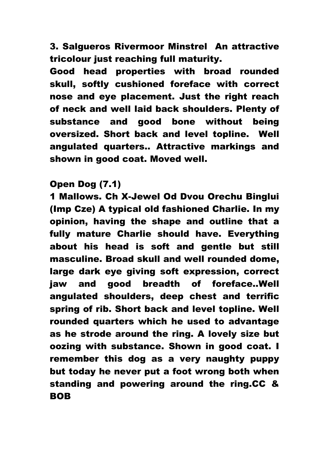3. Salgueros Rivermoor Minstrel An attractive tricolour just reaching full maturity.

Good head properties with broad rounded skull, softly cushioned foreface with correct nose and eye placement. Just the right reach of neck and well laid back shoulders. Plenty of substance and good bone without being oversized. Short back and level topline. Well angulated quarters.. Attractive markings and shown in good coat. Moved well.

### Open Dog (7.1)

1 Mallows. Ch X-Jewel Od Dvou Orechu Binglui (Imp Cze) A typical old fashioned Charlie. In my opinion, having the shape and outline that a fully mature Charlie should have. Everything about his head is soft and gentle but still masculine. Broad skull and well rounded dome, large dark eye giving soft expression, correct jaw and good breadth of foreface..Well angulated shoulders, deep chest and terrific spring of rib. Short back and level topline. Well rounded quarters which he used to advantage as he strode around the ring. A lovely size but oozing with substance. Shown in good coat. I remember this dog as a very naughty puppy but today he never put a foot wrong both when standing and powering around the ring.CC & BOB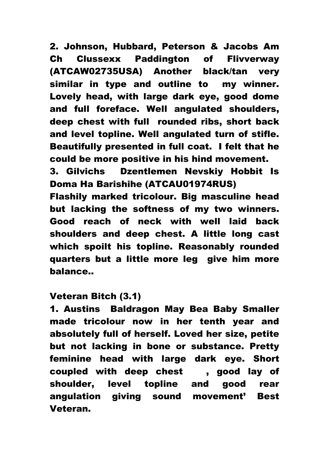2. Johnson, Hubbard, Peterson & Jacobs Am Ch Clussexx Paddington of Flivverway (ATCAW02735USA) Another black/tan very similar in type and outline to my winner. Lovely head, with large dark eye, good dome and full foreface. Well angulated shoulders, deep chest with full rounded ribs, short back and level topline. Well angulated turn of stifle. Beautifully presented in full coat. I felt that he could be more positive in his hind movement.

3. Gilvichs Dzentlemen Nevskiy Hobbit Is Doma Ha Barishihe (ATCAU01974RUS)

Flashily marked tricolour. Big masculine head but lacking the softness of my two winners. Good reach of neck with well laid back shoulders and deep chest. A little long cast which spoilt his topline. Reasonably rounded quarters but a little more leg give him more balance..

### Veteran Bitch (3.1)

1. Austins Baldragon May Bea Baby Smaller made tricolour now in her tenth year and absolutely full of herself. Loved her size, petite but not lacking in bone or substance. Pretty feminine head with large dark eye. Short coupled with deep chest , good lay of shoulder, level topline and good rear angulation giving sound movement' Best Veteran.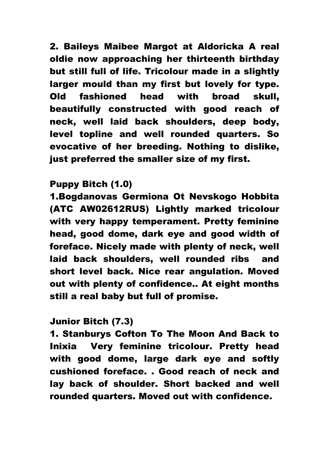2. Baileys Maibee Margot at Aldoricka A real oldie now approaching her thirteenth birthday but still full of life. Tricolour made in a slightly larger mould than my first but lovely for type. Old fashioned head with broad skull, beautifully constructed with good reach of neck, well laid back shoulders, deep body, level topline and well rounded quarters. So evocative of her breeding. Nothing to dislike, just preferred the smaller size of my first.

## Puppy Bitch (1.0)

1.Bogdanovas Germiona Ot Nevskogo Hobbita (ATC AW02612RUS) Lightly marked tricolour with very happy temperament. Pretty feminine head, good dome, dark eye and good width of foreface. Nicely made with plenty of neck, well laid back shoulders, well rounded ribs and short level back. Nice rear angulation. Moved out with plenty of confidence.. At eight months still a real baby but full of promise.

# Junior Bitch (7.3)

1. Stanburys Cofton To The Moon And Back to Inixia Very feminine tricolour. Pretty head with good dome, large dark eye and softly cushioned foreface. . Good reach of neck and lay back of shoulder. Short backed and well rounded quarters. Moved out with confidence.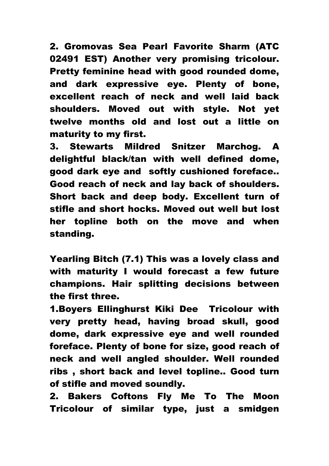2. Gromovas Sea Pearl Favorite Sharm (ATC 02491 EST) Another very promising tricolour. Pretty feminine head with good rounded dome, and dark expressive eye. Plenty of bone, excellent reach of neck and well laid back shoulders. Moved out with style. Not yet twelve months old and lost out a little on maturity to my first.

3. Stewarts Mildred Snitzer Marchog. A delightful black/tan with well defined dome, good dark eye and softly cushioned foreface.. Good reach of neck and lay back of shoulders. Short back and deep body. Excellent turn of stifle and short hocks. Moved out well but lost her topline both on the move and when standing.

Yearling Bitch (7.1) This was a lovely class and with maturity I would forecast a few future champions. Hair splitting decisions between the first three.

1.Boyers Ellinghurst Kiki Dee Tricolour with very pretty head, having broad skull, good dome, dark expressive eye and well rounded foreface. Plenty of bone for size, good reach of neck and well angled shoulder. Well rounded ribs , short back and level topline.. Good turn of stifle and moved soundly.

2. Bakers Coftons Fly Me To The Moon Tricolour of similar type, just a smidgen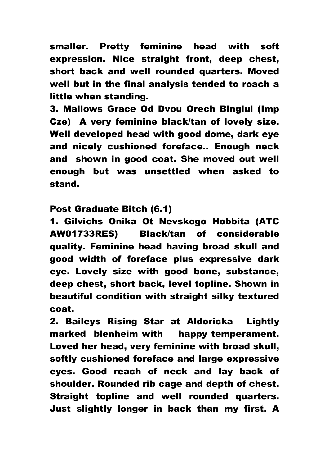smaller. Pretty feminine head with soft expression. Nice straight front, deep chest, short back and well rounded quarters. Moved well but in the final analysis tended to roach a little when standing.

3. Mallows Grace Od Dvou Orech Binglui (Imp Cze) A very feminine black/tan of lovely size. Well developed head with good dome, dark eye and nicely cushioned foreface.. Enough neck and shown in good coat. She moved out well enough but was unsettled when asked to stand.

Post Graduate Bitch (6.1)

1. Gilvichs Onika Ot Nevskogo Hobbita (ATC AW01733RES) Black/tan of considerable quality. Feminine head having broad skull and good width of foreface plus expressive dark eye. Lovely size with good bone, substance, deep chest, short back, level topline. Shown in beautiful condition with straight silky textured coat.

2. Baileys Rising Star at Aldoricka Lightly marked blenheim with happy temperament. Loved her head, very feminine with broad skull, softly cushioned foreface and large expressive eyes. Good reach of neck and lay back of shoulder. Rounded rib cage and depth of chest. Straight topline and well rounded quarters. Just slightly longer in back than my first. A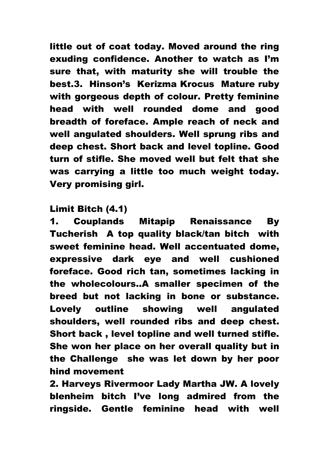little out of coat today. Moved around the ring exuding confidence. Another to watch as I'm sure that, with maturity she will trouble the best.3. Hinson's Kerizma Krocus Mature ruby with gorgeous depth of colour. Pretty feminine head with well rounded dome and good breadth of foreface. Ample reach of neck and well angulated shoulders. Well sprung ribs and deep chest. Short back and level topline. Good turn of stifle. She moved well but felt that she was carrying a little too much weight today. Very promising girl.

### Limit Bitch (4.1)

1. Couplands Mitapip Renaissance By Tucherish A top quality black/tan bitch with sweet feminine head. Well accentuated dome, expressive dark eye and well cushioned foreface. Good rich tan, sometimes lacking in the wholecolours..A smaller specimen of the breed but not lacking in bone or substance. Lovely outline showing well angulated shoulders, well rounded ribs and deep chest. Short back , level topline and well turned stifle. She won her place on her overall quality but in the Challenge she was let down by her poor hind movement

2. Harveys Rivermoor Lady Martha JW. A lovely blenheim bitch I've long admired from the ringside. Gentle feminine head with well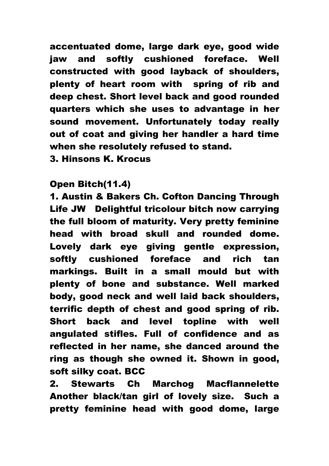accentuated dome, large dark eye, good wide jaw and softly cushioned foreface. Well constructed with good layback of shoulders, plenty of heart room with spring of rib and deep chest. Short level back and good rounded quarters which she uses to advantage in her sound movement. Unfortunately today really out of coat and giving her handler a hard time when she resolutely refused to stand.

3. Hinsons K. Krocus

## Open Bitch(11.4)

1. Austin & Bakers Ch. Cofton Dancing Through Life JW Delightful tricolour bitch now carrying the full bloom of maturity. Very pretty feminine head with broad skull and rounded dome. Lovely dark eye giving gentle expression, softly cushioned foreface and rich tan markings. Built in a small mould but with plenty of bone and substance. Well marked body, good neck and well laid back shoulders, terrific depth of chest and good spring of rib. Short back and level topline with well angulated stifles. Full of confidence and as reflected in her name, she danced around the ring as though she owned it. Shown in good, soft silky coat. BCC

2. Stewarts Ch Marchog Macflannelette Another black/tan girl of lovely size. Such a pretty feminine head with good dome, large